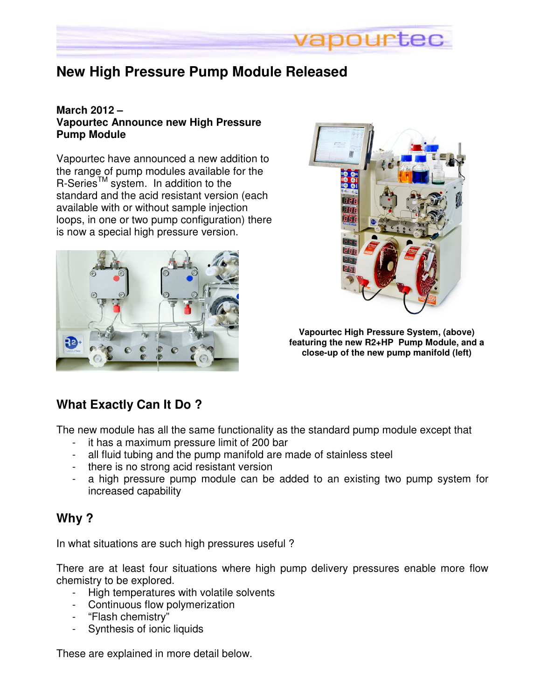

## **New High Pressure Pump Module Released**

### **March 2012 – Vapourtec Announce new High Pressure Pump Module**

Vapourtec have announced a new addition to the range of pump modules available for the  $R-Series<sup>TM</sup> system.$  In addition to the standard and the acid resistant version (each available with or without sample injection loops, in one or two pump configuration) there is now a special high pressure version.





**Vapourtec High Pressure System, (above) featuring the new R2+HP Pump Module, and a close-up of the new pump manifold (left)** 

## **What Exactly Can It Do ?**

The new module has all the same functionality as the standard pump module except that

- it has a maximum pressure limit of 200 bar
- all fluid tubing and the pump manifold are made of stainless steel
- there is no strong acid resistant version
- a high pressure pump module can be added to an existing two pump system for increased capability

## **Why ?**

In what situations are such high pressures useful ?

There are at least four situations where high pump delivery pressures enable more flow chemistry to be explored.

- High temperatures with volatile solvents
- Continuous flow polymerization
- "Flash chemistry"
- Synthesis of ionic liquids

These are explained in more detail below.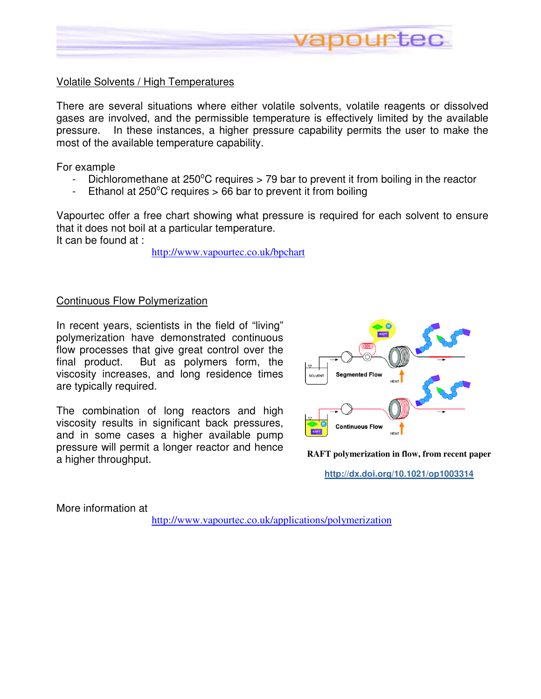

### Volatile Solvents / High Temperatures

There are several situations where either volatile solvents, volatile reagents or dissolved gases are involved, and the permissible temperature is effectively limited by the available pressure. In these instances, a higher pressure capability permits the user to make the most of the available temperature capability.

For example

- Dichloromethane at  $250^{\circ}$ C requires  $> 79$  bar to prevent it from boiling in the reactor
- Ethanol at  $250^{\circ}$ C requires  $> 66$  bar to prevent it from boiling

Vapourtec offer a free chart showing what pressure is required for each solvent to ensure that it does not boil at a particular temperature. It can be found at :

http://www.vapourtec.co.uk/bpchart

#### Continuous Flow Polymerization

In recent years, scientists in the field of "living" polymerization have demonstrated continuous flow processes that give great control over the final product. But as polymers form, the viscosity increases, and long residence times are typically required.

The combination of long reactors and high viscosity results in significant back pressures, and in some cases a higher available pump pressure will permit a longer reactor and hence a higher throughput. **RAFT polymerization in flow, from recent paper** 



**http://dx.doi.org/10.1021/op1003314**

More information at

http://www.vapourtec.co.uk/applications/polymerization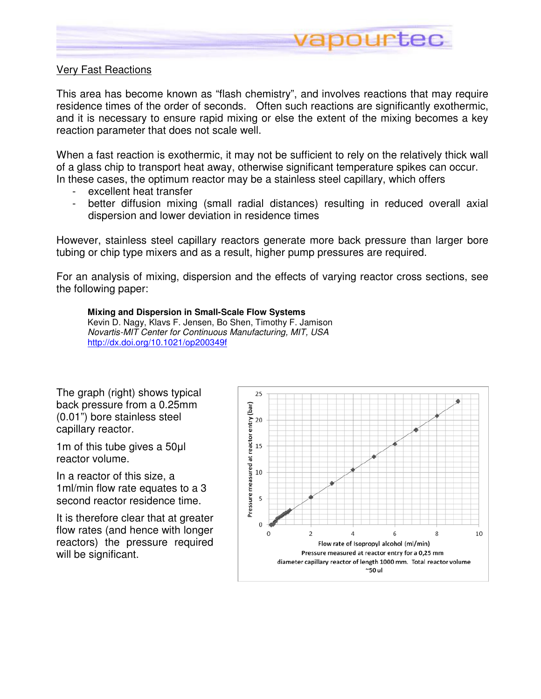

### Very Fast Reactions

This area has become known as "flash chemistry", and involves reactions that may require residence times of the order of seconds. Often such reactions are significantly exothermic, and it is necessary to ensure rapid mixing or else the extent of the mixing becomes a key reaction parameter that does not scale well.

When a fast reaction is exothermic, it may not be sufficient to rely on the relatively thick wall of a glass chip to transport heat away, otherwise significant temperature spikes can occur. In these cases, the optimum reactor may be a stainless steel capillary, which offers

- excellent heat transfer
- better diffusion mixing (small radial distances) resulting in reduced overall axial dispersion and lower deviation in residence times

However, stainless steel capillary reactors generate more back pressure than larger bore tubing or chip type mixers and as a result, higher pump pressures are required.

For an analysis of mixing, dispersion and the effects of varying reactor cross sections, see the following paper:

#### **Mixing and Dispersion in Small-Scale Flow Systems**

Kevin D. Nagy, Klavs F. Jensen, Bo Shen, Timothy F. Jamison Novartis-MIT Center for Continuous Manufacturing, MIT, USA http://dx.doi.org/10.1021/op200349f

The graph (right) shows typical back pressure from a 0.25mm (0.01") bore stainless steel capillary reactor.

1m of this tube gives a 50µl reactor volume.

In a reactor of this size, a 1ml/min flow rate equates to a 3 second reactor residence time.

It is therefore clear that at greater flow rates (and hence with longer reactors) the pressure required will be significant.

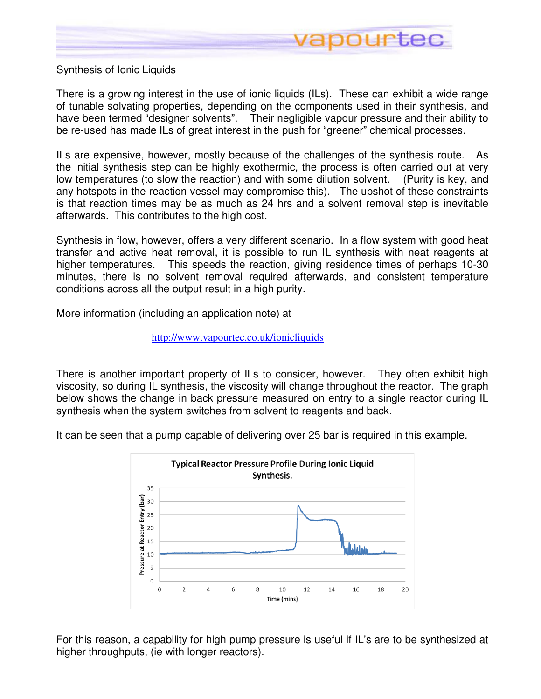

### Synthesis of Ionic Liquids

There is a growing interest in the use of ionic liquids (ILs). These can exhibit a wide range of tunable solvating properties, depending on the components used in their synthesis, and have been termed "designer solvents". Their negligible vapour pressure and their ability to be re-used has made ILs of great interest in the push for "greener" chemical processes.

ILs are expensive, however, mostly because of the challenges of the synthesis route. As the initial synthesis step can be highly exothermic, the process is often carried out at very low temperatures (to slow the reaction) and with some dilution solvent. (Purity is key, and any hotspots in the reaction vessel may compromise this). The upshot of these constraints is that reaction times may be as much as 24 hrs and a solvent removal step is inevitable afterwards. This contributes to the high cost.

Synthesis in flow, however, offers a very different scenario. In a flow system with good heat transfer and active heat removal, it is possible to run IL synthesis with neat reagents at higher temperatures. This speeds the reaction, giving residence times of perhaps 10-30 minutes, there is no solvent removal required afterwards, and consistent temperature conditions across all the output result in a high purity.

More information (including an application note) at

#### http://www.vapourtec.co.uk/ionicliquids

There is another important property of ILs to consider, however. They often exhibit high viscosity, so during IL synthesis, the viscosity will change throughout the reactor. The graph below shows the change in back pressure measured on entry to a single reactor during IL synthesis when the system switches from solvent to reagents and back.

It can be seen that a pump capable of delivering over 25 bar is required in this example.



For this reason, a capability for high pump pressure is useful if IL's are to be synthesized at higher throughputs, (ie with longer reactors).